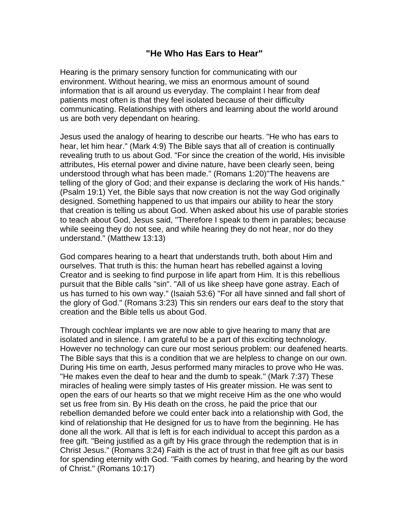## **"He Who Has Ears to Hear"**

Hearing is the primary sensory function for communicating with our environment. Without hearing, we miss an enormous amount of sound information that is all around us everyday. The complaint I hear from deaf patients most often is that they feel isolated because of their difficulty communicating. Relationships with others and learning about the world around us are both very dependant on hearing.

Jesus used the analogy of hearing to describe our hearts. "He who has ears to hear, let him hear." (Mark 4:9) The Bible says that all of creation is continually revealing truth to us about God. "For since the creation of the world, His invisible attributes, His eternal power and divine nature, have been clearly seen, being understood through what has been made." (Romans 1:20)"The heavens are telling of the glory of God; and their expanse is declaring the work of His hands." (Psalm 19:1) Yet, the Bible says that now creation is not the way God originally designed. Something happened to us that impairs our ability to hear the story that creation is telling us about God. When asked about his use of parable stories to teach about God, Jesus said, "Therefore I speak to them in parables; because while seeing they do not see, and while hearing they do not hear, nor do they understand." (Matthew 13:13)

God compares hearing to a heart that understands truth, both about Him and ourselves. That truth is this: the human heart has rebelled against a loving Creator and is seeking to find purpose in life apart from Him. It is this rebellious pursuit that the Bible calls "sin". "All of us like sheep have gone astray. Each of us has turned to his own way." (Isaiah 53:6) "For all have sinned and fall short of the glory of God." (Romans 3:23) This sin renders our ears deaf to the story that creation and the Bible tells us about God.

Through cochlear implants we are now able to give hearing to many that are isolated and in silence. I am grateful to be a part of this exciting technology. However no technology can cure our most serious problem: our deafened hearts. The Bible says that this is a condition that we are helpless to change on our own. During His time on earth, Jesus performed many miracles to prove who He was. "He makes even the deaf to hear and the dumb to speak." (Mark 7:37) These miracles of healing were simply tastes of His greater mission. He was sent to open the ears of our hearts so that we might receive Him as the one who would set us free from sin. By His death on the cross, he paid the price that our rebellion demanded before we could enter back into a relationship with God, the kind of relationship that He designed for us to have from the beginning. He has done all the work. All that is left is for each individual to accept this pardon as a free gift. "Being justified as a gift by His grace through the redemption that is in Christ Jesus." (Romans 3:24) Faith is the act of trust in that free gift as our basis for spending eternity with God. "Faith comes by hearing, and hearing by the word of Christ." (Romans 10:17)